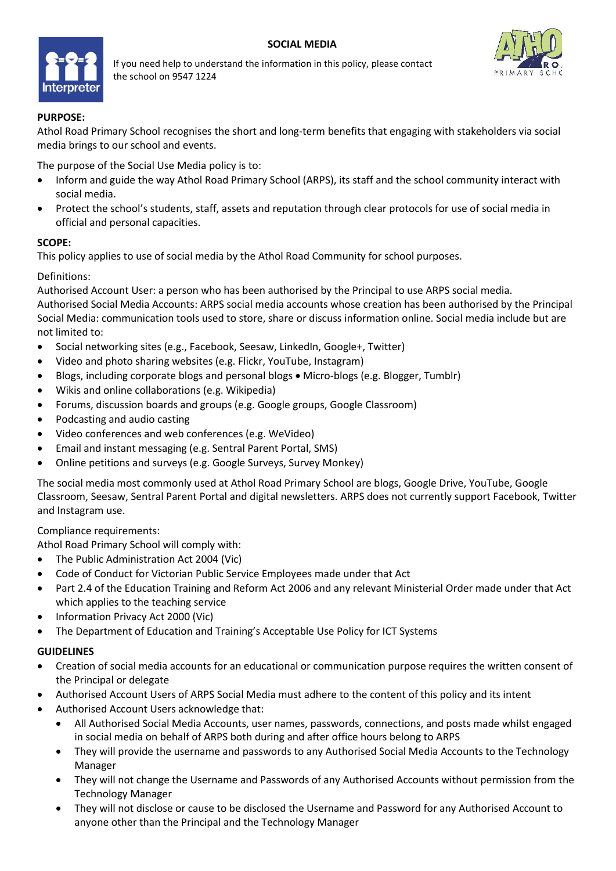## **SOCIAL MEDIA**



If you need help to understand the information in this policy, please contact the school on 9547 1224



## **PURPOSE:**

Athol Road Primary School recognises the short and long-term benefits that engaging with stakeholders via social media brings to our school and events.

The purpose of the Social Use Media policy is to:

- Inform and guide the way Athol Road Primary School (ARPS), its staff and the school community interact with social media.
- Protect the school's students, staff, assets and reputation through clear protocols for use of social media in official and personal capacities.

## **SCOPE:**

This policy applies to use of social media by the Athol Road Community for school purposes.

## Definitions:

Authorised Account User: a person who has been authorised by the Principal to use ARPS social media. Authorised Social Media Accounts: ARPS social media accounts whose creation has been authorised by the Principal Social Media: communication tools used to store, share or discuss information online. Social media include but are not limited to:

- Social networking sites (e.g., Facebook, Seesaw, LinkedIn, Google+, Twitter)
- Video and photo sharing websites (e.g. Flickr, YouTube, Instagram)
- Blogs, including corporate blogs and personal blogs Micro-blogs (e.g. Blogger, Tumblr)
- Wikis and online collaborations (e.g. Wikipedia)
- Forums, discussion boards and groups (e.g. Google groups, Google Classroom)
- Podcasting and audio casting
- Video conferences and web conferences (e.g. WeVideo)
- Email and instant messaging (e.g. Sentral Parent Portal, SMS)
- Online petitions and surveys (e.g. Google Surveys, Survey Monkey)

The social media most commonly used at Athol Road Primary School are blogs, Google Drive, YouTube, Google Classroom, Seesaw, Sentral Parent Portal and digital newsletters. ARPS does not currently support Facebook, Twitter and Instagram use.

Compliance requirements:

Athol Road Primary School will comply with:

- The Public Administration Act 2004 (Vic)
- Code of Conduct for Victorian Public Service Employees made under that Act
- Part 2.4 of the Education Training and Reform Act 2006 and any relevant Ministerial Order made under that Act which applies to the teaching service
- Information Privacy Act 2000 (Vic)
- The Department of Education and Training's Acceptable Use Policy for ICT Systems

## **GUIDELINES**

- Creation of social media accounts for an educational or communication purpose requires the written consent of the Principal or delegate
- Authorised Account Users of ARPS Social Media must adhere to the content of this policy and its intent
- Authorised Account Users acknowledge that:
	- All Authorised Social Media Accounts, user names, passwords, connections, and posts made whilst engaged in social media on behalf of ARPS both during and after office hours belong to ARPS
	- They will provide the username and passwords to any Authorised Social Media Accounts to the Technology Manager
	- They will not change the Username and Passwords of any Authorised Accounts without permission from the Technology Manager
	- They will not disclose or cause to be disclosed the Username and Password for any Authorised Account to anyone other than the Principal and the Technology Manager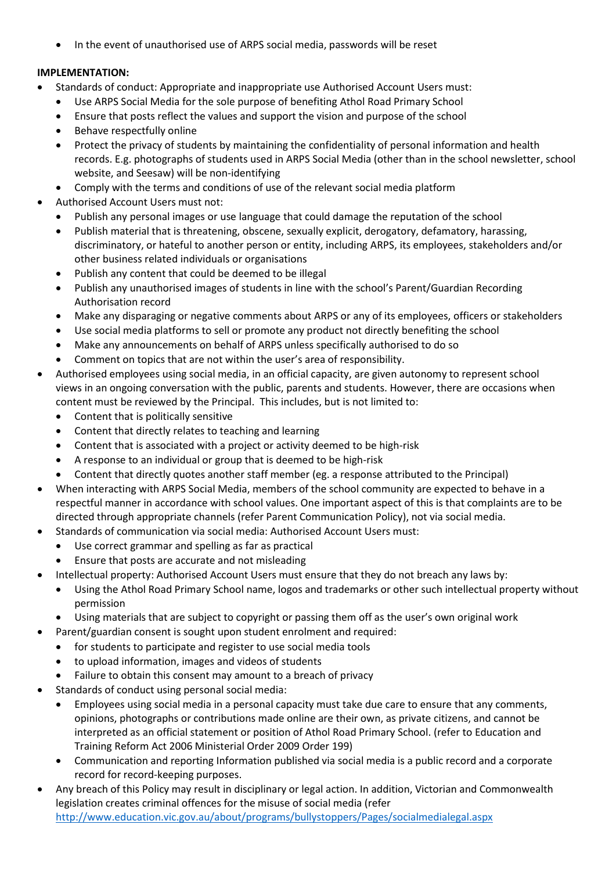• In the event of unauthorised use of ARPS social media, passwords will be reset

# **IMPLEMENTATION:**

- Standards of conduct: Appropriate and inappropriate use Authorised Account Users must:
	- Use ARPS Social Media for the sole purpose of benefiting Athol Road Primary School
	- Ensure that posts reflect the values and support the vision and purpose of the school
	- Behave respectfully online
	- Protect the privacy of students by maintaining the confidentiality of personal information and health records. E.g. photographs of students used in ARPS Social Media (other than in the school newsletter, school website, and Seesaw) will be non-identifying
	- Comply with the terms and conditions of use of the relevant social media platform
- Authorised Account Users must not:
	- Publish any personal images or use language that could damage the reputation of the school
	- Publish material that is threatening, obscene, sexually explicit, derogatory, defamatory, harassing, discriminatory, or hateful to another person or entity, including ARPS, its employees, stakeholders and/or other business related individuals or organisations
	- Publish any content that could be deemed to be illegal
	- Publish any unauthorised images of students in line with the school's Parent/Guardian Recording Authorisation record
	- Make any disparaging or negative comments about ARPS or any of its employees, officers or stakeholders
	- Use social media platforms to sell or promote any product not directly benefiting the school
	- Make any announcements on behalf of ARPS unless specifically authorised to do so
	- Comment on topics that are not within the user's area of responsibility.
- Authorised employees using social media, in an official capacity, are given autonomy to represent school views in an ongoing conversation with the public, parents and students. However, there are occasions when content must be reviewed by the Principal. This includes, but is not limited to:
	- Content that is politically sensitive
	- Content that directly relates to teaching and learning
	- Content that is associated with a project or activity deemed to be high-risk
	- A response to an individual or group that is deemed to be high-risk
	- Content that directly quotes another staff member (eg. a response attributed to the Principal)
- When interacting with ARPS Social Media, members of the school community are expected to behave in a respectful manner in accordance with school values. One important aspect of this is that complaints are to be directed through appropriate channels (refer Parent Communication Policy), not via social media.
- Standards of communication via social media: Authorised Account Users must:
	- Use correct grammar and spelling as far as practical
	- Ensure that posts are accurate and not misleading
- Intellectual property: Authorised Account Users must ensure that they do not breach any laws by:
	- Using the Athol Road Primary School name, logos and trademarks or other such intellectual property without permission
- Using materials that are subject to copyright or passing them off as the user's own original work
	- Parent/guardian consent is sought upon student enrolment and required:
- for students to participate and register to use social media tools
	- to upload information, images and videos of students
	- Failure to obtain this consent may amount to a breach of privacy
- Standards of conduct using personal social media:
	- Employees using social media in a personal capacity must take due care to ensure that any comments, opinions, photographs or contributions made online are their own, as private citizens, and cannot be interpreted as an official statement or position of Athol Road Primary School. (refer to Education and Training Reform Act 2006 Ministerial Order 2009 Order 199)
	- Communication and reporting Information published via social media is a public record and a corporate record for record-keeping purposes.
- Any breach of this Policy may result in disciplinary or legal action. In addition, Victorian and Commonwealth legislation creates criminal offences for the misuse of social media (refer <http://www.education.vic.gov.au/about/programs/bullystoppers/Pages/socialmedialegal.aspx>